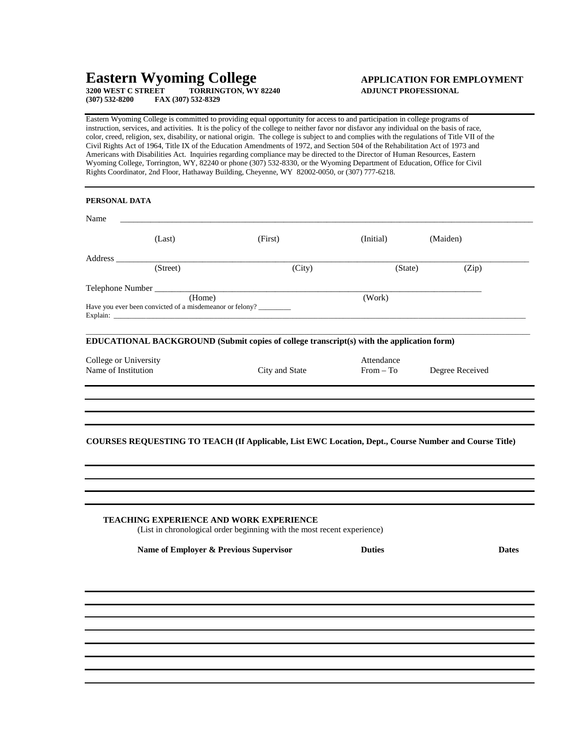# **Eastern Wyoming College APPLICATION FOR EMPLOYMENT**

**3200 WEST C STREET TORRINGTON, WY 82240 ADJUNCT PROFESSIONAL (307) 532-8200 FAX (307) 532-8329**

Eastern Wyoming College is committed to providing equal opportunity for access to and participation in college programs of instruction, services, and activities. It is the policy of the college to neither favor nor disfavor any individual on the basis of race, color, creed, religion, sex, disability, or national origin. The college is subject to and complies with the regulations of Title VII of the Civil Rights Act of 1964, Title IX of the Education Amendments of 1972, and Section 504 of the Rehabilitation Act of 1973 and Americans with Disabilities Act. Inquiries regarding compliance may be directed to the Director of Human Resources, Eastern Wyoming College, Torrington, WY, 82240 or phone (307) 532-8330, or the Wyoming Department of Education, Office for Civil Rights Coordinator, 2nd Floor, Hathaway Building, Cheyenne, WY 82002-0050, or (307) 777-6218.

| Name                  |                                                                    |                                                                                                                                                                                                                                     |               |                 |
|-----------------------|--------------------------------------------------------------------|-------------------------------------------------------------------------------------------------------------------------------------------------------------------------------------------------------------------------------------|---------------|-----------------|
|                       | (Last)                                                             | (First)                                                                                                                                                                                                                             | (Initial)     | (Maiden)        |
| Address               |                                                                    |                                                                                                                                                                                                                                     |               |                 |
|                       | (Street)                                                           | (City)                                                                                                                                                                                                                              | (State)       | (Zip)           |
|                       | Telephone Number                                                   |                                                                                                                                                                                                                                     |               |                 |
|                       | (Home)<br>Have you ever been convicted of a misdemeanor or felony? | Explain: <u>Explaint</u> Contract Contract Contract Contract Contract Contract Contract Contract Contract Contract Contract Contract Contract Contract Contract Contract Contract Contract Contract Contract Contract Contract Cont | (Work)        |                 |
|                       |                                                                    | EDUCATIONAL BACKGROUND (Submit copies of college transcript(s) with the application form)                                                                                                                                           |               |                 |
| College or University |                                                                    |                                                                                                                                                                                                                                     | Attendance    |                 |
| Name of Institution   |                                                                    | City and State                                                                                                                                                                                                                      | $From - To$   | Degree Received |
|                       |                                                                    | COURSES REQUESTING TO TEACH (If Applicable, List EWC Location, Dept., Course Number and Course Title)                                                                                                                               |               |                 |
|                       |                                                                    |                                                                                                                                                                                                                                     |               |                 |
|                       |                                                                    | <b>TEACHING EXPERIENCE AND WORK EXPERIENCE</b>                                                                                                                                                                                      |               |                 |
|                       |                                                                    | (List in chronological order beginning with the most recent experience)                                                                                                                                                             |               |                 |
|                       | Name of Employer & Previous Supervisor                             |                                                                                                                                                                                                                                     | <b>Duties</b> | <b>Dates</b>    |
|                       |                                                                    |                                                                                                                                                                                                                                     |               |                 |
|                       |                                                                    |                                                                                                                                                                                                                                     |               |                 |
|                       |                                                                    |                                                                                                                                                                                                                                     |               |                 |
|                       |                                                                    |                                                                                                                                                                                                                                     |               |                 |